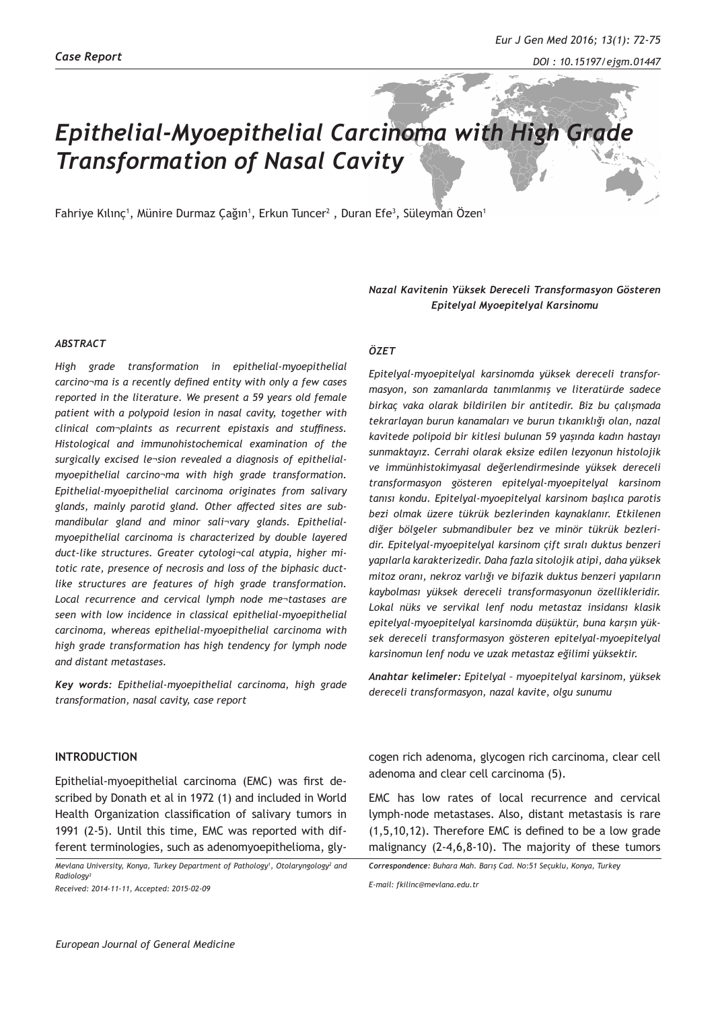# *Epithelial-Myoepithelial Carcinoma with High Grade Transformation of Nasal Cavity*

Fahriye Kılınç<sup>ı</sup>, Münire Durmaz Çağın<sup>ı</sup>, Erkun Tuncer<sup>2</sup> , Duran Efe<sup>3</sup>, Süleyman Özen<sup>1</sup>

# *Nazal Kavitenin Yüksek Dereceli Transformasyon Gösteren Epitelyal Myoepitelyal Karsinomu*

### *ABSTRACT*

*High grade transformation in epithelial-myoepithelial carcino¬ma is a recently defined entity with only a few cases reported in the literature. We present a 59 years old female patient with a polypoid lesion in nasal cavity, together with clinical com¬plaints as recurrent epistaxis and stuffiness. Histological and immunohistochemical examination of the surgically excised le¬sion revealed a diagnosis of epithelialmyoepithelial carcino¬ma with high grade transformation. Epithelial-myoepithelial carcinoma originates from salivary glands, mainly parotid gland. Other affected sites are submandibular gland and minor sali¬vary glands. Epithelialmyoepithelial carcinoma is characterized by double layered duct-like structures. Greater cytologi¬cal atypia, higher mitotic rate, presence of necrosis and loss of the biphasic ductlike structures are features of high grade transformation. Local recurrence and cervical lymph node me¬tastases are seen with low incidence in classical epithelial-myoepithelial carcinoma, whereas epithelial-myoepithelial carcinoma with high grade transformation has high tendency for lymph node and distant metastases.*

*Key words: Epithelial-myoepithelial carcinoma, high grade transformation, nasal cavity, case report* 

# **INTRODUCTION**

Epithelial-myoepithelial carcinoma (EMC) was first described by Donath et al in 1972 (1) and included in World Health Organization classification of salivary tumors in 1991 (2-5). Until this time, EMC was reported with different terminologies, such as adenomyoepithelioma, gly-

*Mevlana University, Konya, Turkey Department of Pathology1 , Otolaryngology2 and Radiology3*

*Received: 2014-11-11, Accepted: 2015-02-09*

#### *ÖZET*

*Epitelyal-myoepitelyal karsinomda yüksek dereceli transformasyon, son zamanlarda tanımlanmış ve literatürde sadece birkaç vaka olarak bildirilen bir antitedir. Biz bu çalışmada tekrarlayan burun kanamaları ve burun tıkanıklığı olan, nazal kavitede polipoid bir kitlesi bulunan 59 yaşında kadın hastayı sunmaktayız. Cerrahi olarak eksize edilen lezyonun histolojik ve immünhistokimyasal değerlendirmesinde yüksek dereceli transformasyon gösteren epitelyal-myoepitelyal karsinom tanısı kondu. Epitelyal-myoepitelyal karsinom başlıca parotis bezi olmak üzere tükrük bezlerinden kaynaklanır. Etkilenen diğer bölgeler submandibuler bez ve minör tükrük bezleridir. Epitelyal-myoepitelyal karsinom çift sıralı duktus benzeri yapılarla karakterizedir. Daha fazla sitolojik atipi, daha yüksek mitoz oranı, nekroz varlığı ve bifazik duktus benzeri yapıların kaybolması yüksek dereceli transformasyonun özellikleridir. Lokal nüks ve servikal lenf nodu metastaz insidansı klasik epitelyal-myoepitelyal karsinomda düşüktür, buna karşın yüksek dereceli transformasyon gösteren epitelyal-myoepitelyal karsinomun lenf nodu ve uzak metastaz eğilimi yüksektir.*

*Anahtar kelimeler: Epitelyal – myoepitelyal karsinom, yüksek dereceli transformasyon, nazal kavite, olgu sunumu*

cogen rich adenoma, glycogen rich carcinoma, clear cell adenoma and clear cell carcinoma (5).

EMC has low rates of local recurrence and cervical lymph-node metastases. Also, distant metastasis is rare (1,5,10,12). Therefore EMC is defined to be a low grade malignancy (2-4,6,8-10). The majority of these tumors

```
Correspondence: Buhara Mah. Barış Cad. No:51 Seçuklu, Konya, Turkey
```
*E-mail: fkilinc@mevlana.edu.tr*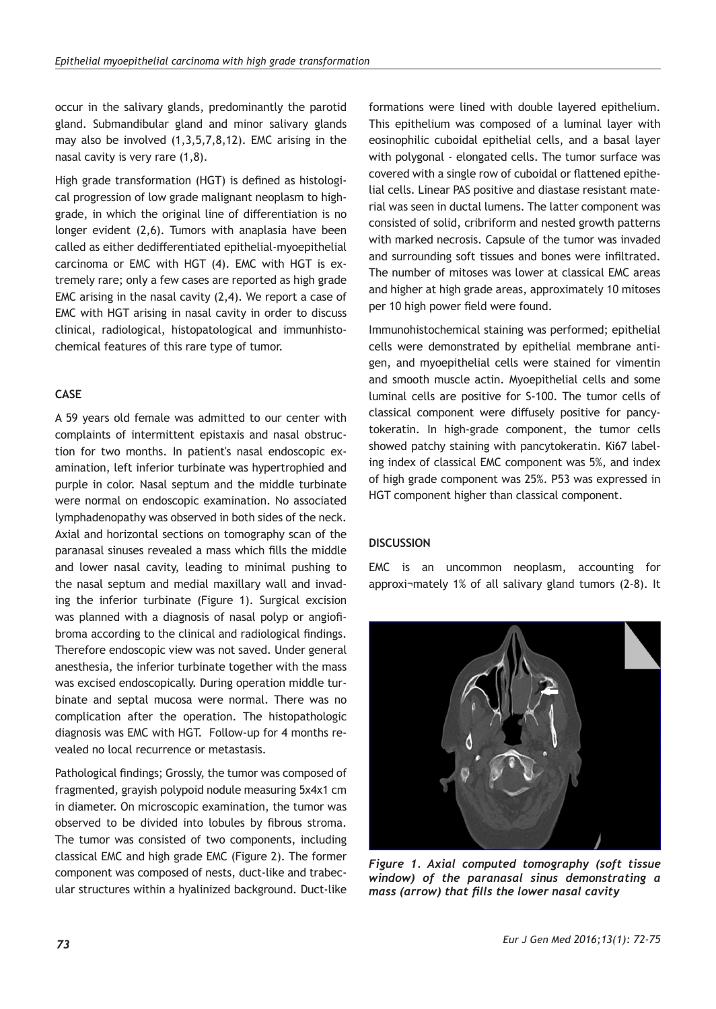occur in the salivary glands, predominantly the parotid gland. Submandibular gland and minor salivary glands may also be involved (1,3,5,7,8,12). EMC arising in the nasal cavity is very rare (1,8).

High grade transformation (HGT) is defined as histological progression of low grade malignant neoplasm to highgrade, in which the original line of differentiation is no longer evident (2,6). Tumors with anaplasia have been called as either dedifferentiated epithelial-myoepithelial carcinoma or EMC with HGT (4). EMC with HGT is extremely rare; only a few cases are reported as high grade EMC arising in the nasal cavity (2,4). We report a case of EMC with HGT arising in nasal cavity in order to discuss clinical, radiological, histopatological and immunhistochemical features of this rare type of tumor.

# **CASE**

A 59 years old female was admitted to our center with complaints of intermittent epistaxis and nasal obstruction for two months. In patient's nasal endoscopic examination, left inferior turbinate was hypertrophied and purple in color. Nasal septum and the middle turbinate were normal on endoscopic examination. No associated lymphadenopathy was observed in both sides of the neck. Axial and horizontal sections on tomography scan of the paranasal sinuses revealed a mass which fills the middle and lower nasal cavity, leading to minimal pushing to the nasal septum and medial maxillary wall and invading the inferior turbinate (Figure 1). Surgical excision was planned with a diagnosis of nasal polyp or angiofibroma according to the clinical and radiological findings. Therefore endoscopic view was not saved. Under general anesthesia, the inferior turbinate together with the mass was excised endoscopically. During operation middle turbinate and septal mucosa were normal. There was no complication after the operation. The histopathologic diagnosis was EMC with HGT. Follow-up for 4 months revealed no local recurrence or metastasis.

Pathological findings; Grossly, the tumor was composed of fragmented, grayish polypoid nodule measuring 5x4x1 cm in diameter. On microscopic examination, the tumor was observed to be divided into lobules by fibrous stroma. The tumor was consisted of two components, including classical EMC and high grade EMC (Figure 2). The former component was composed of nests, duct-like and trabecular structures within a hyalinized background. Duct-like formations were lined with double layered epithelium. This epithelium was composed of a luminal layer with eosinophilic cuboidal epithelial cells, and a basal layer with polygonal - elongated cells. The tumor surface was covered with a single row of cuboidal or flattened epithelial cells. Linear PAS positive and diastase resistant material was seen in ductal lumens. The latter component was consisted of solid, cribriform and nested growth patterns with marked necrosis. Capsule of the tumor was invaded and surrounding soft tissues and bones were infiltrated. The number of mitoses was lower at classical EMC areas and higher at high grade areas, approximately 10 mitoses per 10 high power field were found.

Immunohistochemical staining was performed; epithelial cells were demonstrated by epithelial membrane antigen, and myoepithelial cells were stained for vimentin and smooth muscle actin. Myoepithelial cells and some luminal cells are positive for S-100. The tumor cells of classical component were diffusely positive for pancytokeratin. In high-grade component, the tumor cells showed patchy staining with pancytokeratin. Ki67 labeling index of classical EMC component was 5%, and index of high grade component was 25%. P53 was expressed in HGT component higher than classical component.

# **DISCUSSION**

EMC is an uncommon neoplasm, accounting for approxi¬mately 1% of all salivary gland tumors (2-8). It



*Figure 1. Axial computed tomography (soft tissue window) of the paranasal sinus demonstrating a mass (arrow) that fills the lower nasal cavity*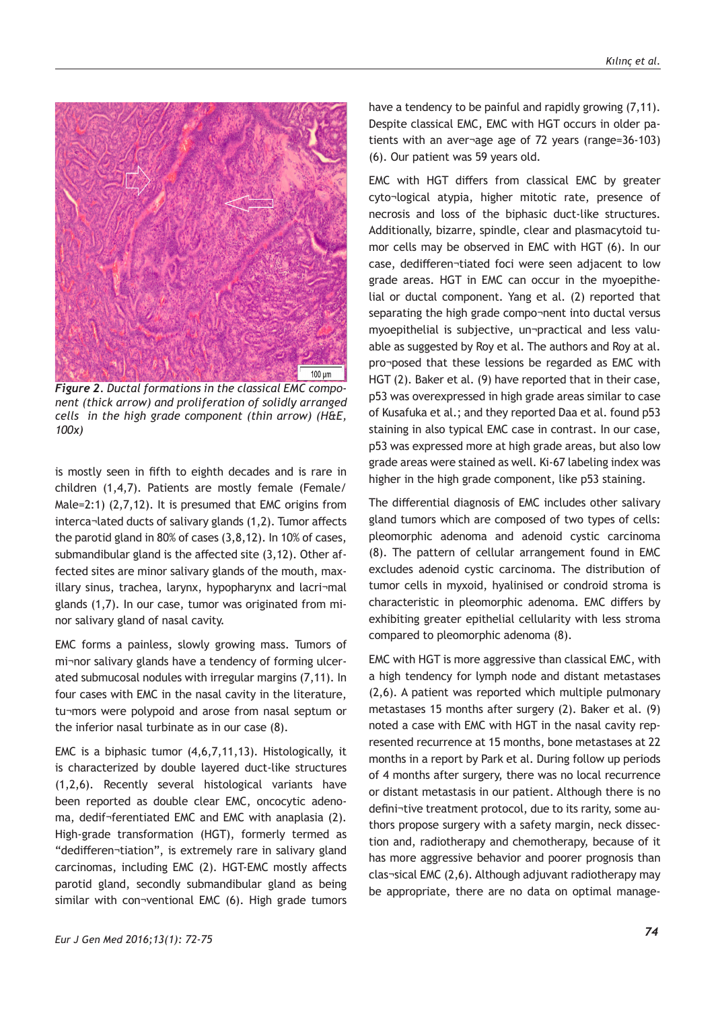

*Figure 2. Ductal formations in the classical EMC component (thick arrow) and proliferation of solidly arranged cells in the high grade component (thin arrow) (H&E, 100x)*

is mostly seen in fifth to eighth decades and is rare in children (1,4,7). Patients are mostly female (Female/ Male=2:1) (2,7,12). It is presumed that EMC origins from interca¬lated ducts of salivary glands (1,2). Tumor affects the parotid gland in 80% of cases (3,8,12). In 10% of cases, submandibular gland is the affected site (3,12). Other affected sites are minor salivary glands of the mouth, maxillary sinus, trachea, larynx, hypopharynx and lacri¬mal glands (1,7). In our case, tumor was originated from minor salivary gland of nasal cavity.

EMC forms a painless, slowly growing mass. Tumors of mi¬nor salivary glands have a tendency of forming ulcerated submucosal nodules with irregular margins (7,11). In four cases with EMC in the nasal cavity in the literature, tu¬mors were polypoid and arose from nasal septum or the inferior nasal turbinate as in our case (8).

EMC is a biphasic tumor (4,6,7,11,13). Histologically, it is characterized by double layered duct-like structures (1,2,6). Recently several histological variants have been reported as double clear EMC, oncocytic adenoma, dedif¬ferentiated EMC and EMC with anaplasia (2). High-grade transformation (HGT), formerly termed as "dedifferen¬tiation", is extremely rare in salivary gland carcinomas, including EMC (2). HGT-EMC mostly affects parotid gland, secondly submandibular gland as being similar with con¬ventional EMC (6). High grade tumors

have a tendency to be painful and rapidly growing (7,11). Despite classical EMC, EMC with HGT occurs in older patients with an aver¬age age of 72 years (range=36-103) (6). Our patient was 59 years old.

EMC with HGT differs from classical EMC by greater cyto¬logical atypia, higher mitotic rate, presence of necrosis and loss of the biphasic duct-like structures. Additionally, bizarre, spindle, clear and plasmacytoid tumor cells may be observed in EMC with HGT (6). In our case, dedifferen¬tiated foci were seen adjacent to low grade areas. HGT in EMC can occur in the myoepithelial or ductal component. Yang et al. (2) reported that separating the high grade compo¬nent into ductal versus myoepithelial is subjective, un¬practical and less valuable as suggested by Roy et al. The authors and Roy at al. pro¬posed that these lessions be regarded as EMC with HGT (2). Baker et al. (9) have reported that in their case, p53 was overexpressed in high grade areas similar to case of Kusafuka et al.; and they reported Daa et al. found p53 staining in also typical EMC case in contrast. In our case, p53 was expressed more at high grade areas, but also low grade areas were stained as well. Ki-67 labeling index was higher in the high grade component, like p53 staining.

The differential diagnosis of EMC includes other salivary gland tumors which are composed of two types of cells: pleomorphic adenoma and adenoid cystic carcinoma (8). The pattern of cellular arrangement found in EMC excludes adenoid cystic carcinoma. The distribution of tumor cells in myxoid, hyalinised or condroid stroma is characteristic in pleomorphic adenoma. EMC differs by exhibiting greater epithelial cellularity with less stroma compared to pleomorphic adenoma (8).

EMC with HGT is more aggressive than classical EMC, with a high tendency for lymph node and distant metastases (2,6). A patient was reported which multiple pulmonary metastases 15 months after surgery (2). Baker et al. (9) noted a case with EMC with HGT in the nasal cavity represented recurrence at 15 months, bone metastases at 22 months in a report by Park et al. During follow up periods of 4 months after surgery, there was no local recurrence or distant metastasis in our patient. Although there is no defini¬tive treatment protocol, due to its rarity, some authors propose surgery with a safety margin, neck dissection and, radiotherapy and chemotherapy, because of it has more aggressive behavior and poorer prognosis than clas¬sical EMC (2,6). Although adjuvant radiotherapy may be appropriate, there are no data on optimal manage